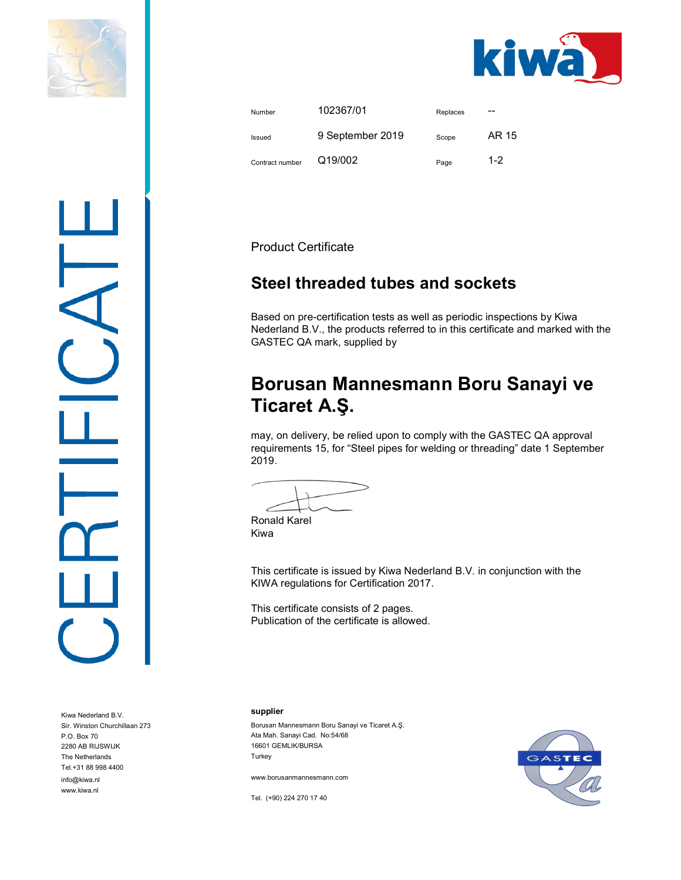



| Number          | 102367/01        | Replaces | --      |
|-----------------|------------------|----------|---------|
| Issued          | 9 September 2019 | Scope    | AR 15   |
| Contract number | Q19/002          | Page     | $1 - 2$ |

Product Certificate

## Steel threaded tubes and sockets

Based on pre-certification tests as well as periodic inspections by Kiwa Nederland B.V., the products referred to in this certificate and marked with the GASTEC QA mark, supplied by

# Borusan Mannesmann Boru Sanayi ve Ticaret A.Ş.

may, on delivery, be relied upon to comply with the GASTEC QA approval requirements 15, for "Steel pipes for welding or threading" date 1 September 2019.

Ronald Karel Kiwa

This certificate is issued by Kiwa Nederland B.V. in conjunction with the KIWA regulations for Certification 2017.

This certificate consists of 2 pages. Publication of the certificate is allowed.

supplier

Borusan Mannesmann Boru Sanayi ve Ticaret A.Ş. Ata Mah. Sanayi Cad. No:54/68 16601 GEMLIK/BURSA Turkey

www.borusanmannesmann.com

Tel. (+90) 224 270 17 40



Kiwa Nederland B.V. Sir. Winston Churchillaan 273 P.O. Box 70 2280 AB RIJSWIJK The Netherlands Tel.+31 88 998 4400 info@kiwa.nl

www.kiwa.nl